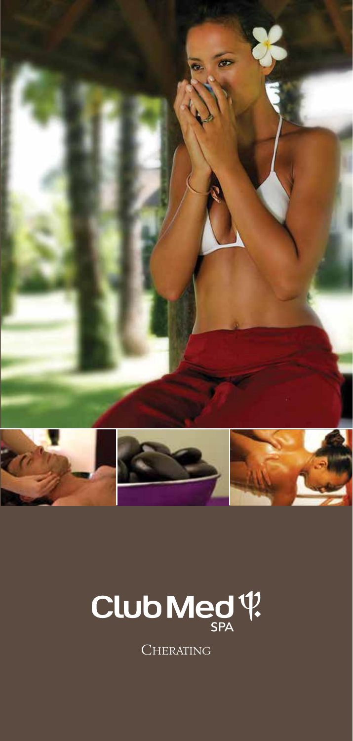



**CHERATING**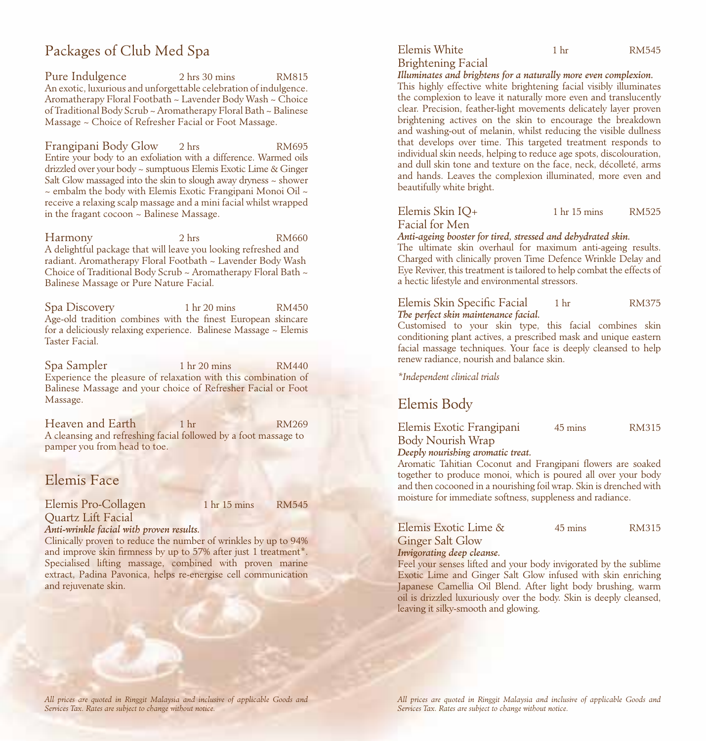# Packages of Club Med Spa

Pure Indulgence 2 hrs 30 mins RM815 An exotic, luxurious and unforgettable celebration of indulgence. Aromatherapy Floral Footbath ~ Lavender Body Wash ~ Choice of Traditional Body Scrub ~ Aromatherapy Floral Bath ~ Balinese Massage ~ Choice of Refresher Facial or Foot Massage.

Frangipani Body Glow 2 hrs RM695 Entire your body to an exfoliation with a difference. Warmed oils drizzled over your body ~ sumptuous Elemis Exotic Lime & Ginger Salt Glow massaged into the skin to slough away dryness  $\sim$  shower  $\sim$  embalm the body with Elemis Exotic Frangipani Monoi Oil  $\sim$ receive a relaxing scalp massage and a mini facial whilst wrapped in the fragant cocoon ~ Balinese Massage.

Harmony 2 hrs RM660 A delightful package that will leave you looking refreshed and radiant. Aromatherapy Floral Footbath ~ Lavender Body Wash Choice of Traditional Body Scrub ~ Aromatherapy Floral Bath ~ Balinese Massage or Pure Nature Facial.

Spa Discovery 1 hr 20 mins RM450 Age-old tradition combines with the finest European skincare for a deliciously relaxing experience. Balinese Massage ~ Elemis Taster Facial.

Spa Sampler 1 hr 20 mins RM440 Experience the pleasure of relaxation with this combination of Balinese Massage and your choice of Refresher Facial or Foot Massage.

Heaven and Earth 1 hr RM269 A cleansing and refreshing facial followed by a foot massage to pamper you from head to toe.

# Elemis Face

### Elemis Pro-Collagen 1 hr 15 mins RM545 Quartz Lift Facial

# *Anti-wrinkle facial with proven results.*

Clinically proven to reduce the number of wrinkles by up to 94% and improve skin firmness by up to 57% after just 1 treatment\*. Specialised lifting massage, combined with proven marine extract, Padina Pavonica, helps re-energise cell communication and rejuvenate skin.

# Brightening Facial

*Illuminates and brightens for a naturally more even complexion.*

This highly effective white brightening facial visibly illuminates the complexion to leave it naturally more even and translucently clear. Precision, feather-light movements delicately layer proven brightening actives on the skin to encourage the breakdown and washing-out of melanin, whilst reducing the visible dullness that develops over time. This targeted treatment responds to individual skin needs, helping to reduce age spots, discolouration, and dull skin tone and texture on the face, neck, décolleté, arms and hands. Leaves the complexion illuminated, more even and beautifully white bright.

| Elemis Skin IQ+ | 1 <sub>hr</sub> 15 <sub>mins</sub> | RM525 |
|-----------------|------------------------------------|-------|
| Facial for Men  |                                    |       |

### *Anti-ageing booster for tired, stressed and dehydrated skin.*

The ultimate skin overhaul for maximum anti-ageing results. Charged with clinically proven Time Defence Wrinkle Delay and Eye Reviver, this treatment is tailored to help combat the effects of a hectic lifestyle and environmental stressors.

| Elemis Skin Specific Facial          | 1 <sub>hr</sub> | RM375 |
|--------------------------------------|-----------------|-------|
| The perfect skin maintenance facial. |                 |       |

Customised to your skin type, this facial combines skin conditioning plant actives, a prescribed mask and unique eastern facial massage techniques. Your face is deeply cleansed to help renew radiance, nourish and balance skin.

*\*Independent clinical trials*

# Elemis Body

| Elemis Exotic Frangipani | 45 mins | <b>RM315</b> |
|--------------------------|---------|--------------|
| Body Nourish Wrap        |         |              |

## *Deeply nourishing aromatic treat.*

Aromatic Tahitian Coconut and Frangipani flowers are soaked together to produce monoi, which is poured all over your body and then cocooned in a nourishing foil wrap. Skin is drenched with moisture for immediate softness, suppleness and radiance.

| Elemis Exotic Lime &           | 45 mins | RM315 |
|--------------------------------|---------|-------|
| <b>Ginger Salt Glow</b><br>___ |         |       |

*Invigorating deep cleanse.* 

Feel your senses lifted and your body invigorated by the sublime Exotic Lime and Ginger Salt Glow infused with skin enriching Japanese Camellia Oil Blend. After light body brushing, warm oil is drizzled luxuriously over the body. Skin is deeply cleansed, leaving it silky-smooth and glowing.

*All prices are quoted in Ringgit Malaysia and inclusive of applicable Goods and Services Tax. Rates are subject to change without notice.*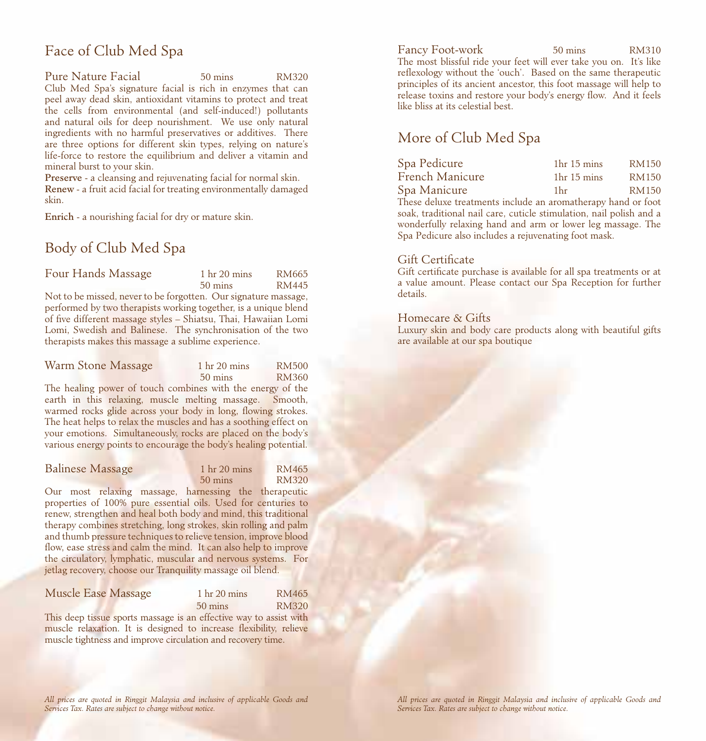# Face of Club Med Spa

Pure Nature Facial 50 mins RM320 Club Med Spa's signature facial is rich in enzymes that can peel away dead skin, antioxidant vitamins to protect and treat the cells from environmental (and self-induced!) pollutants and natural oils for deep nourishment. We use only natural ingredients with no harmful preservatives or additives. There are three options for different skin types, relying on nature's life-force to restore the equilibrium and deliver a vitamin and mineral burst to your skin.

Preserve - a cleansing and rejuvenating facial for normal skin. Renew - a fruit acid facial for treating environmentally damaged skin.

Enrich - a nourishing facial for dry or mature skin.

# Body of Club Med Spa

| Four Hands Massage                                              | 1 <sub>hr</sub> 20 <sub> mins</sub> | RM665 |
|-----------------------------------------------------------------|-------------------------------------|-------|
|                                                                 | $50 \text{ mins}$                   | RM445 |
| Not to be missed, never to be forgotten. Our signature massage, |                                     |       |

performed by two therapists working together, is a unique blend of five different massage styles – Shiatsu, Thai, Hawaiian Lomi Lomi, Swedish and Balinese. The synchronisation of the two therapists makes this massage a sublime experience.

| Warm Stone Massage                                                                                                                                                                                                                            | 1 <sub>hr</sub> 20 <sub> mins</sub> | <b>RM500</b> |
|-----------------------------------------------------------------------------------------------------------------------------------------------------------------------------------------------------------------------------------------------|-------------------------------------|--------------|
|                                                                                                                                                                                                                                               | $50 \text{ mins}$                   | RM360        |
| The healing power of touch combines with the energy of the<br>$\mathbf{d} = \mathbf{r}$ and $\mathbf{d} = \mathbf{r}$ and $\mathbf{d} = \mathbf{r}$ and $\mathbf{r} = \mathbf{r}$ and $\mathbf{r} = \mathbf{r}$ and $\mathbf{r} = \mathbf{r}$ |                                     |              |

earth in this relaxing, muscle melting massage. Smooth, warmed rocks glide across your body in long, flowing strokes. The heat helps to relax the muscles and has a soothing effect on your emotions. Simultaneously, rocks are placed on the body's various energy points to encourage the body's healing potential.

| Balinese Massage | 1 <sub>hr</sub> 20 mins | RM465 |
|------------------|-------------------------|-------|
|                  | $50 \text{ mins}$       | RM320 |
|                  |                         |       |

Our most relaxing massage, harnessing the therapeutic properties of 100% pure essential oils. Used for centuries to renew, strengthen and heal both body and mind, this traditional therapy combines stretching, long strokes, skin rolling and palm and thumb pressure techniques to relieve tension, improve blood flow, ease stress and calm the mind. It can also help to improve the circulatory, lymphatic, muscular and nervous systems. For jetlag recovery, choose our Tranquility massage oil blend.

| Muscle Ease Massage | 1 <sub>hr</sub> 20 mins | RM465        |
|---------------------|-------------------------|--------------|
|                     | $50 \text{ mins}$       | <b>RM320</b> |
| $r = 1$             |                         |              |

This deep tissue sports massage is an effective way to assist with muscle relaxation. It is designed to increase flexibility, relieve muscle tightness and improve circulation and recovery time.

Fancy Foot-work 50 mins RM310 The most blissful ride your feet will ever take you on. It's like reflexology without the 'ouch'. Based on the same therapeutic principles of its ancient ancestor, this foot massage will help to release toxins and restore your body's energy flow. And it feels like bliss at its celestial best.

# More of Club Med Spa

| Spa Pedicure    | 1 <sup>hr</sup> 15 mins | <b>RM150</b> |
|-----------------|-------------------------|--------------|
| French Manicure | 1 <sup>hr</sup> 15 mins | <b>RM150</b> |
| Spa Manicure    | 1 <sub>hr</sub>         | <b>RM150</b> |
|                 |                         |              |

These deluxe treatments include an aromatherapy hand or foot soak, traditional nail care, cuticle stimulation, nail polish and a wonderfully relaxing hand and arm or lower leg massage. The Spa Pedicure also includes a rejuvenating foot mask.

### Gift Certificate

Gift certificate purchase is available for all spa treatments or at a value amount. Please contact our Spa Reception for further details.

## Homecare & Gifts

Luxury skin and body care products along with beautiful gifts are available at our spa boutique